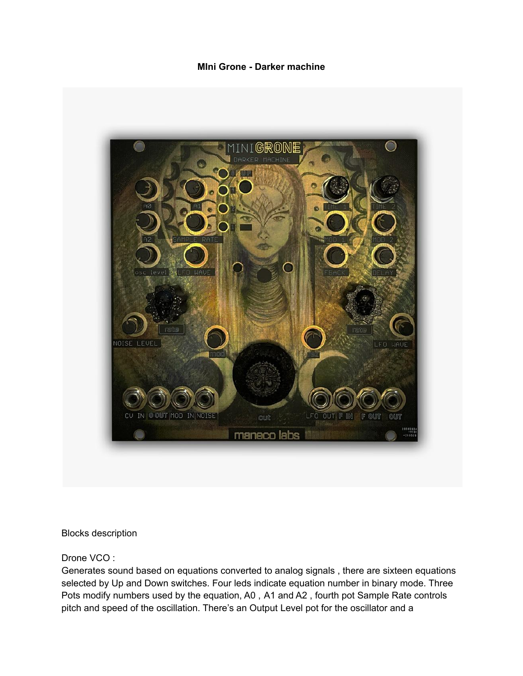## **MIni Grone - Darker machine**



Blocks description

Drone VCO :

Generates sound based on equations converted to analog signals , there are sixteen equations selected by Up and Down switches. Four leds indicate equation number in binary mode. Three Pots modify numbers used by the equation, A0 , A1 and A2 , fourth pot Sample Rate controls pitch and speed of the oscillation. There's an Output Level pot for the oscillator and a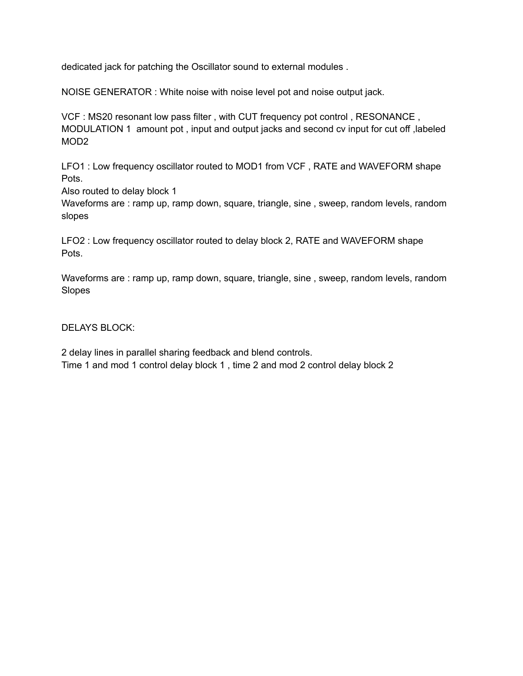dedicated jack for patching the Oscillator sound to external modules .

NOISE GENERATOR : White noise with noise level pot and noise output jack.

VCF : MS20 resonant low pass filter , with CUT frequency pot control , RESONANCE , MODULATION 1 amount pot , input and output jacks and second cv input for cut off ,labeled MOD2

LFO1 : Low frequency oscillator routed to MOD1 from VCF , RATE and WAVEFORM shape Pots.

Also routed to delay block 1

Waveforms are : ramp up, ramp down, square, triangle, sine , sweep, random levels, random slopes

LFO2 : Low frequency oscillator routed to delay block 2, RATE and WAVEFORM shape Pots.

Waveforms are : ramp up, ramp down, square, triangle, sine , sweep, random levels, random Slopes

DELAYS BLOCK:

2 delay lines in parallel sharing feedback and blend controls. Time 1 and mod 1 control delay block 1 , time 2 and mod 2 control delay block 2